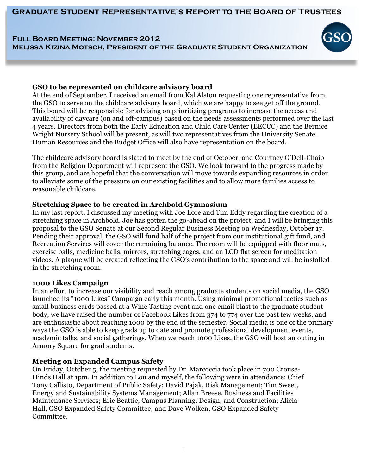**Graduate Student Representative's Report to the Board of Trustees**

# **Full Board Meeting: November 2012 Melissa Kizina Motsch, President of the Graduate Student Organization**



### **GSO to be represented on childcare advisory board**

At the end of September, I received an email from Kal Alston requesting one representative from the GSO to serve on the childcare advisory board, which we are happy to see get off the ground. This board will be responsible for advising on prioritizing programs to increase the access and availability of daycare (on and off-campus) based on the needs assessments performed over the last 4 years. Directors from both the Early Education and Child Care Center (EECCC) and the Bernice Wright Nursery School will be present, as will two representatives from the University Senate. Human Resources and the Budget Office will also have representation on the board.

The childcare advisory board is slated to meet by the end of October, and Courtney O'Dell-Chaib from the Religion Department will represent the GSO. We look forward to the progress made by this group, and are hopeful that the conversation will move towards expanding resources in order to alleviate some of the pressure on our existing facilities and to allow more families access to reasonable childcare.

## **Stretching Space to be created in Archbold Gymnasium**

In my last report, I discussed my meeting with Joe Lore and Tim Eddy regarding the creation of a stretching space in Archbold. Joe has gotten the go-ahead on the project, and I will be bringing this proposal to the GSO Senate at our Second Regular Business Meeting on Wednesday, October 17. Pending their approval, the GSO will fund half of the project from our institutional gift fund, and Recreation Services will cover the remaining balance. The room will be equipped with floor mats, exercise balls, medicine balls, mirrors, stretching cages, and an LCD flat screen for meditation videos. A plaque will be created reflecting the GSO's contribution to the space and will be installed in the stretching room.

## **1000 Likes Campaign**

In an effort to increase our visibility and reach among graduate students on social media, the GSO launched its "1000 Likes" Campaign early this month. Using minimal promotional tactics such as small business cards passed at a Wine Tasting event and one email blast to the graduate student body, we have raised the number of Facebook Likes from 374 to 774 over the past few weeks, and are enthusiastic about reaching 1000 by the end of the semester. Social media is one of the primary ways the GSO is able to keep grads up to date and promote professional development events, academic talks, and social gatherings. When we reach 1000 Likes, the GSO will host an outing in Armory Square for grad students.

## **Meeting on Expanded Campus Safety**

On Friday, October 5, the meeting requested by Dr. Marcoccia took place in 700 Crouse-Hinds Hall at 1pm. In addition to Lou and myself, the following were in attendance: Chief Tony Callisto, Department of Public Safety; David Pajak, Risk Management; Tim Sweet, Energy and Sustainability Systems Management; Allan Breese, Business and Facilities Maintenance Services; Eric Beattie, Campus Planning, Design, and Construction; Alicia Hall, GSO Expanded Safety Committee; and Dave Wolken, GSO Expanded Safety Committee.